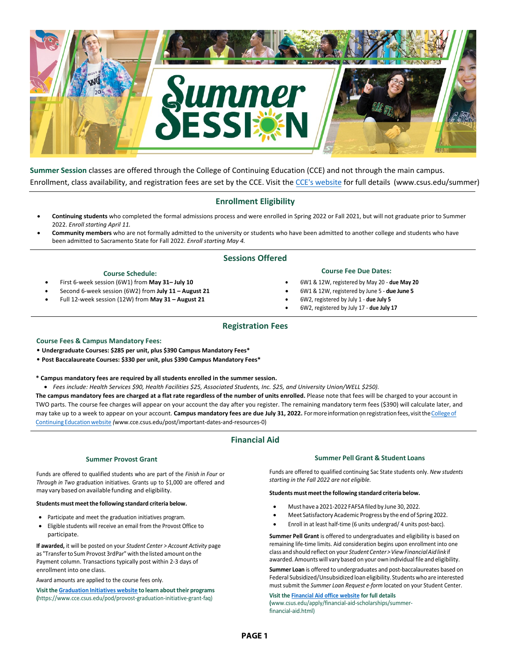

**Summer Session** classes are offered through the College of Continuing Education (CCE) and not through the main campus. Enrollment, class availability, and registration fees are set by the CCE. Visit the [CCE's website](http://www.csus.edu/summer) for full details (www.csus.edu/summer)

# **Enrollment Eligibility**

- **Continuing students** who completed the formal admissions process and were enrolled in Spring 2022 or Fall 2021, but will not graduate prior to Summer 2022. *Enroll starting April 11.*
- **Community members** who are not formally admitted to the university or students who have been admitted to another college and students who have been admitted to Sacramento State for Fall 2022. *Enroll starting May 4.*

## **Sessions Offered**

#### **Course Schedule:**

- First 6-week session (6W1) from **May 31– July 10**
- Second 6-week session (6W2) from **July 11 August 21**
- Full 12-week session (12W) from **May 31 August 21**
- **Course Fee Due Dates:**
- 6W1 & 12W, registered by May 20 **due May 20**
- 6W1 & 12W, registered by June 5 **due June 5**
- 6W2, registered by July 1 **due July 5**
- 6W2, registered by July 17 **due July 17**

### **Registration Fees**

#### **Course Fees & Campus Mandatory Fees:**

• **Undergraduate Courses: \$285 per unit, plus \$390 Campus Mandatory Fees\*** 

- **Post Baccalaureate Courses: \$330 per unit, plus \$390 Campus Mandatory Fees\***
- **\* Campus mandatory fees are required by all students enrolled in the summer session.**
- Fees include: Health Services \$90, Health Facilities \$25, Associated Students, Inc. \$25, and University Union/WELL \$250).

**The campus mandatory fees are charged at a flat rate regardless of the number of units enrolled.** Please note that fees will be charged to your account in TWO parts. The course fee charges will appear on your account the day after you register. The [remaining mandatory term fees \(\\$390\) will](http://www.cce.csus.edu/post/important-dates-and-resources-0) calculate later, and may take up to a week to appear on your account. Campus mandatory fees are due July 31, 2022. Formore information on registration fees, visit the College of Continuing Educationwebsite *(*www.cce.csus.edu/post/important-dates-and-resources-0)

# **Financial Aid**

#### **Summer Provost Grant**

Funds are offered to qualified students who are part of the *Finish in Four* or *Through in Two* graduation initiatives. Grants up to \$1,000 are offered and may vary based on available funding and eligibility.

#### **Students must meetthe following standard criteria below.**

- Participate and meet the graduation initiatives program.
- Eligible students will receive an email from the Provost Office to participate.

**If awarded,** it will be posted on your *Student Center > Account Activity* page as "Transferto Sum Provost 3rdPar" with the listed amount on the Payment column. Transactions typically post within 2-3 days of enrollment into one class.

Award amounts are applied to the course fees only.

**Visitthe [Graduation](http://www.cce.csus.edu/pod/provost-graduation-initiative-grant-faq) Initiatives website to learn abouttheir programs (**https://www.cce.csus.edu/pod/provost-graduation-initiative-grant-faq)

#### **Summer Pell Grant & Student Loans**

Funds are offered to qualified continuing Sac State students only. *New students starting in the Fall 2022 are not eligible.*

#### **Students must meetthe following standard criteria below.**

- Must have a 2021-2022 FAFSA filed by June 30, 2022.
- Meet Satisfactory Academic Progress by the end of Spring 2022.
- Enroll in at least half-time (6 units undergrad/ 4 units post-bacc).

**Summer Pell Grant** is offered to undergraduates and eligibility is based on remaining life-time limits. Aid consideration begins upon enrollment into one class and should reflect on your *StudentCenter > ViewFinancial Aid link* if awarded. Amounts will vary based on your own individual file and eligibility.

**Summer Loan** is offered to undergraduates and post-baccalaureates based on Federal Subsidized/Unsubsidized loan eligibility. Students who are interested must submit the *Summer Loan Request e-form* located on your Student Center.

**Visit th[e Financial Aid office website](http://ww.csus.edu/apply/financial-aid-scholarships/summer-financial-aid.html) for full details (**www.csus.edu/apply/financial-aid-scholarships/summerfinancial-aid.html)